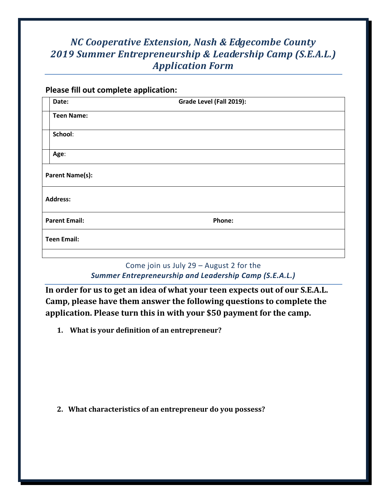## *NC Cooperative Extension, Nash & Edgecombe County 2019 Summer Entrepreneurship & Leadership Camp (S.E.A.L.) Application Form*

## **Please fill out complete application:**

|                        | Date:              | Grade Level (Fall 2019): |  |
|------------------------|--------------------|--------------------------|--|
|                        | <b>Teen Name:</b>  |                          |  |
|                        | School:            |                          |  |
|                        | Age:               |                          |  |
| <b>Parent Name(s):</b> |                    |                          |  |
| <b>Address:</b>        |                    |                          |  |
| <b>Parent Email:</b>   |                    | Phone:                   |  |
|                        | <b>Teen Email:</b> |                          |  |
|                        |                    |                          |  |

## Come join us July 29 – August 2 for the *Summer Entrepreneurship and Leadership Camp (S.E.A.L.)*

**In order for us to get an idea of what your teen expects out of our S.E.A.L. Camp, please have them answer the following questions to complete the application. Please turn this in with your \$50 payment for the camp.**

**1. What is your definition of an entrepreneur?**

**2. What characteristics of an entrepreneur do you possess?**